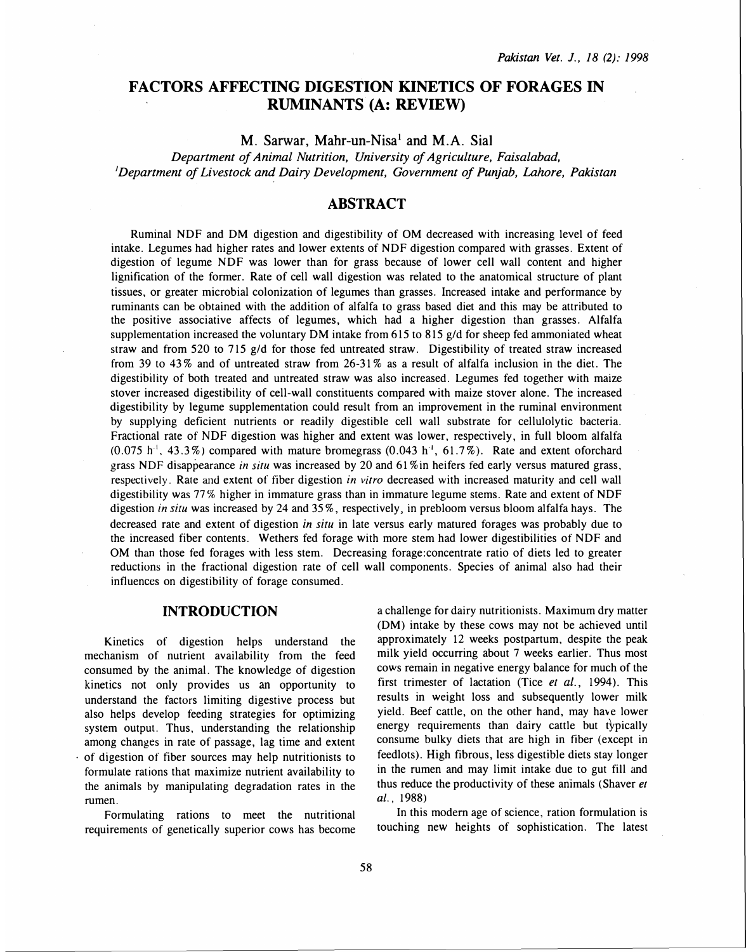# FACTORS AFFECTING DIGESTION KINETICS OF FORAGES IN RUMINANTS (A: REVIEW)

## $M.$  Sarwar, Mahr-un-Nisa<sup>1</sup> and M.A. Sial

Department of Animal Nutrition, University of Agriculture, Faisalabad, 1Department of Livestock and Dairy Development, Government of Punjab, Lahore, Pakistan

# ABSTRACT

Rumina! NOF and OM digestion and digestibility of OM decreased with increasing level of feed intake. Legumes had higher rates and lower extents of NOF digestion compared with grasses. Extent of digestion of legume NOF was lower than for grass because of lower cell wall content and higher lignification of the former. Rate of cell wall digestion was related to the anatomical structure of plant tissues, or greater microbial colonization of legumes than grasses. Increased intake and performance by ruminants can be obtained with the addition of alfalfa to grass based diet and this may be attributed to the positive associative affects of legumes, which had a higher digestion than grasses. Alfalfa supplementation increased the voluntary DM intake from 615 to 815 g/d for sheep fed ammoniated wheat straw and from 520 to 715 g/d for those fed untreated straw. Digestibility of treated straw increased from 39 to 43% and of untreated straw from 26-31% as a result of alfalfa inclusion in the diet. The digestibility of both treated and untreated straw was also increased. Legumes fed together with maize stover increased digestibility of cell-wall constituents compared with maize stover alone. The increased digestibility by legume supplementation could result from an improvement in the ruminal environment by supplying deficient nutrients or readily digestible cell wall substrate for cellulolytic bacteria. Fractional rate of NDF digestion was higher and extent was lower, respectively, in full bloom alfalfa  $(0.075 \text{ h}^1, 43.3\%)$  compared with mature bromegrass  $(0.043 \text{ h}^1, 61.7\%)$ . Rate and extent oforchard grass NDF disappearance in situ was increased by 20 and 61% in heifers fed early versus matured grass, respectively. Rate and extent of fiber digestion in vitro decreased with increased maturity and cell wall digestibility was 77% higher in immature grass than in immature legume stems. Rate and extent of NDF digestion in situ was increased by 24 and 35%, respectively. in prebloom versus bloom alfalfa hays. The decreased rate and extent of digestion in situ in late versus early matured forages was probably due to the increased fiber contents. Wethers fed forage with more stem had lower digestibilities of NDF and OM than those fed forages with less stem. Decreasing forage: concentrate ratio of diets led to greater reductions in the fractional digestion rate of cell wall components. Species of animal also had their influences on digestibility of forage consumed.

# INTRODUCTION

Kinetics of digestion helps understand the mechanism of nutrient availability from the feed consumed by the animal. The knowledge of digestion kinetics not only provides us an opportunity to understand the factors limiting digestive process but also helps develop feeding strategies for optimizing system output. Thus, understanding the relationship among changes in rate of passage, lag time and extent of digestion of fiber sources may help nutritionists to formulate rations that maximize nutrient availability to the animals by manipulating degradation rates in the rumen.

Formulating rations to meet the nutritional requirements of genetically superior cows has become

a challenge for dairy nutritionists. Maximum dry matter (OM) intake by these cows may not be achieved until approximately 12 weeks postpartum, despite the peak milk yield occurring about 7 weeks earlier. Thus most cows remain in negative energy balance for much of the first trimester of lactation (Tice et al., 1994). This results in weight loss and subsequently lower milk yield. Beef cattle, on the other hand, may have lower energy requirements than dairy cattle but typically consume bulky diets that are high in fiber (except in feedlots). High fibrous, less digestible diets stay longer in the rumen and may limit intake due to gut fill and thus reduce the productivity of these animals (Shaver et al., 1988)

In this modern age of science, ration formulation is touching new heights of sophistication. The latest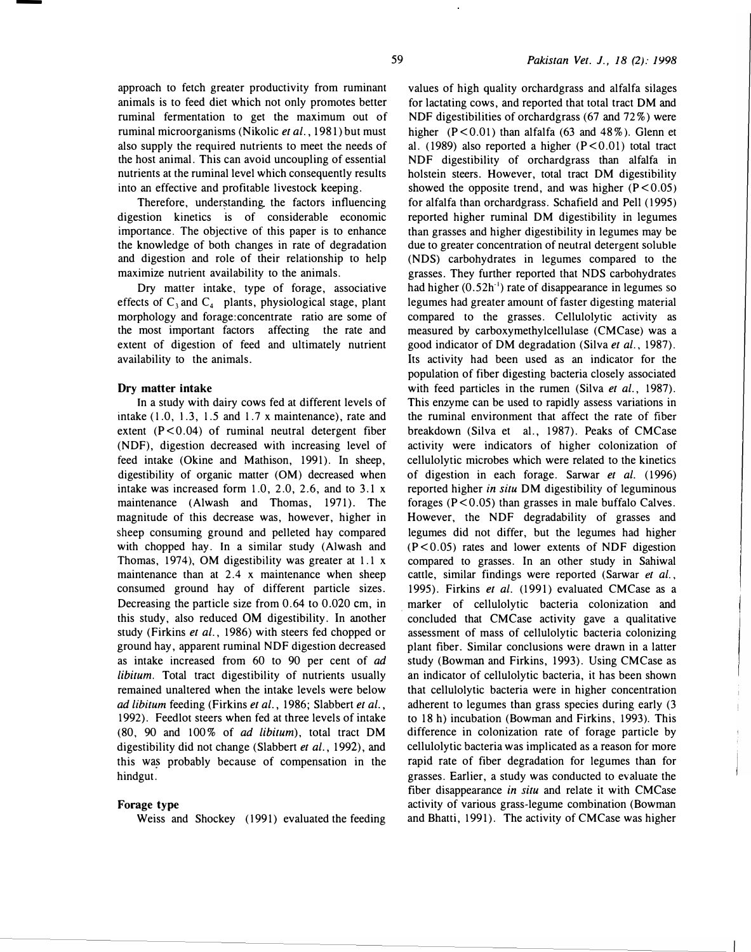approach to fetch greater productivity from ruminant animals is to feed diet which not only promotes better ruminal fermentation to get the maximum out of ruminal microorganisms (Nikolic et al., 1981) but must also supply the required nutrients to meet the needs of the host animal. This can avoid uncoupling of essential nutrients at the ruminal level which consequently results into an effective and profitable livestock keeping.

Therefore, understanding the factors influencing digestion kinetics is of considerable economic importance. The objective of this paper is to enhance the knowledge of both changes in rate of degradation and digestion and role of their relationship to help maximize nutrient availability to the animals.

Dry matter intake, type of forage, associative effects of  $C_3$  and  $C_4$  plants, physiological stage, plant morphology and forage:concentrate ratio are some of the most important factors affecting the rate and extent of digestion of feed and ultimately nutrient availability to the animals.

#### Dry matter intake

In a study with dairy cows fed at different levels of intake (1.0, 1.3, 1.5 and 1.7 x maintenance), rate and extent  $(P < 0.04)$  of ruminal neutral detergent fiber (NDF), digestion decreased with increasing level of feed intake ( Okine and Mathison, 1991). In sheep, digestibility of organic matter (OM) decreased when intake was increased form  $1.0$ ,  $2.0$ ,  $2.6$ , and to  $3.1 \times$ maintenance (Alwash and Thomas, 1971). The magnitude of this decrease was, however, higher in sheep consuming ground and pelleted hay compared with chopped hay. In a similar study (Alwash and Thomas, 1974), OM digestibility was greater at  $1.1 \text{ x}$ maintenance than at 2.4 x maintenance when sheep consumed ground hay of different particle sizes. Decreasing the particle size from 0.64 to 0.020 em, in this study, also reduced OM digestibility. In another study (Firkins et al., 1986) with steers fed chopped or ground hay, apparent ruminal NDF digestion decreased as intake increased from 60 to 90 per cent of ad libitum. Total tract digestibility of nutrients usually remained unaltered when the intake levels were below ad libitum feeding (Firkins et al., 1986; Slabbert et al., 1992). Feedlot steers when fed at three levels of intake (80, 90 and 100% of ad libitum), total tract DM digestibility did not change (Slabbert et al., 1992), and this wa� probably because of compensation in the hindgut.

#### Forage type

Weiss and Shockey (1991) evaluated the feeding

values of high quality orchardgrass and alfalfa silages for lactating cows, and reported that total tract OM and NDF digestibilities of orchardgrass (67 and 72%) were higher  $(P < 0.01)$  than alfalfa (63 and 48%). Glenn et al. (1989) also reported a higher  $(P < 0.01)$  total tract NDF digestibility of orchardgrass than alfalfa in holstein steers. However, total tract DM digestibility showed the opposite trend, and was higher  $(P < 0.05)$ for alfalfa than orchardgrass. Schafield and Pell (1995) reported higher ruminal DM digestibility in legumes than grasses and higher digestibility in legumes may be due to greater concentration of neutral detergent soluble (NDS) carbohydrates in legumes compared to the grasses. They further reported that NDS carbohydrates had higher  $(0.52h^{-1})$  rate of disappearance in legumes so legumes had greater amount of faster digesting material compared to the grasses. Cellulolytic activity as measured by carboxymethylcellulase (CMCase) was a good indicator of DM degradation (Silva et al., 1987). Its activity had been used as an indicator for the population of fiber digesting bacteria closely associated with feed particles in the rumen (Silva et al., 1987). This enzyme can be used to rapidly assess variations in the ruminal environment that affect the rate of fiber breakdown (Silva et al., 1987). Peaks of CMCase activity were indicators of higher colonization of cellulolytic microbes which were related to the kinetics of digestion in each forage. Sarwar et al. (1996) reported higher in situ DM digestibility of leguminous forages  $(P < 0.05)$  than grasses in male buffalo Calves. However, the NDF degradability of grasses and legumes did not differ, but the legumes had higher  $(P<0.05)$  rates and lower extents of NDF digestion compared to grasses. In an other study in Sahiwal cattle, similar findings were reported (Sarwar et al., 1995). Firkins et al. (1991) evaluated CMCase as a marker of cellulolytic bacteria colonization and concluded that CMCase activity gave a qualitative assessment of mass of cellulolytic bacteria colonizing plant fiber. Similar conclusions were drawn in a latter study (Bowman and Firkins, 1993). Using CMCase as an indicator of cellulolytic bacteria, it has been shown that cellulolytic bacteria were in higher concentration adherent to legumes than grass species during early (3 to 18 h) incubation (Bowman and Firkins, 1993). This difference in colonization rate of forage particle by cellulolytic bacteria was implicated as a reason for more rapid rate of fiber degradation for legumes than for grasses. Earlier, a study was conducted to evaluate the fiber disappearance in situ and relate it with CMCase activity of various grass-legume combination (Bowman and Bhatti, 1991). The activity of CMCase was higher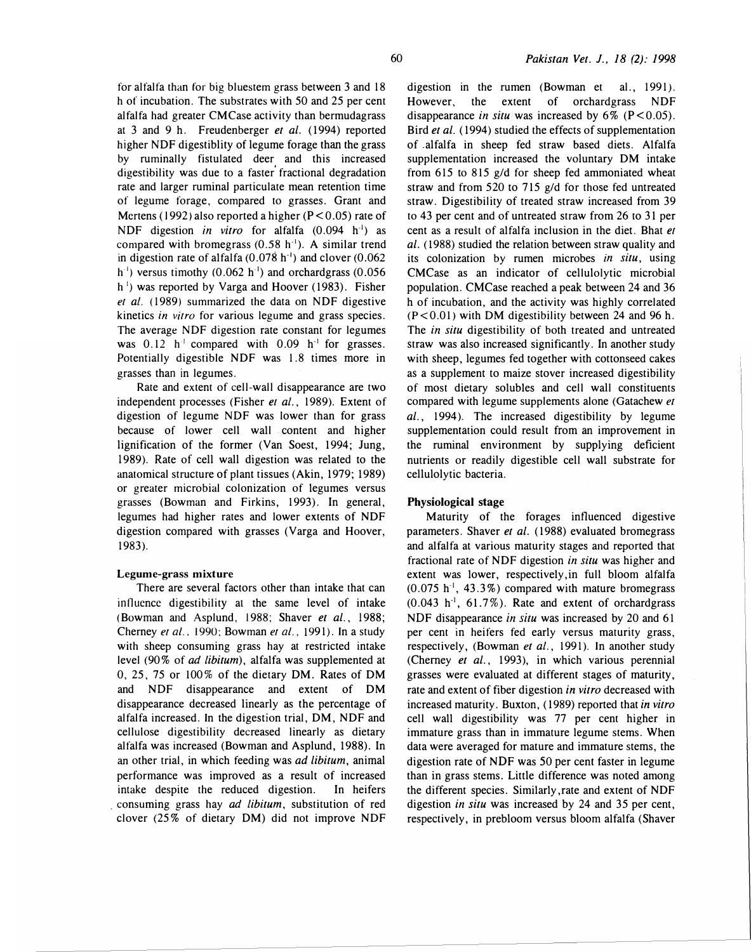h of incubation. The substrates with 50 and 25 per cent alfalfa had greater CMCase activity than bermudagrass at 3 and 9 h. Freudenberger et al. (1994) reported higher NDF digestiblity of legume forage than the grass by ruminally fistulated deer and this increased digestibility was due to a faster' fractional degradation rate and larger rumina] particulate mean retention time of legume forage, compared to grasses. Grant and Mertens (1992) also reported a higher ( $P < 0.05$ ) rate of NDF digestion in vitro for alfalfa  $(0.094 \text{ h}^{-1})$  as compared with bromegrass  $(0.58 \; h^{-1})$ . A similar trend in digestion rate of alfalfa  $(0.078 \text{ h}^{-1})$  and clover  $(0.062 \text{ h}^{-1})$ h<sup>-1</sup>) versus timothy (0.062 h<sup>-1</sup>) and orchardgrass (0.056  $h<sup>1</sup>$ ) was reported by Varga and Hoover (1983). Fisher et al. ( 1989) summarized the data on NDF digestive kinetics in vitro for various legume and grass species. The average NOF digestion rate constant for legumes was  $0.12$  h<sup>-1</sup> compared with  $0.09$  h<sup>-1</sup> for grasses. Potentially digestible NDF was 1.8 times more in grasses than in legumes.

Rate and extent of cell-wall disappearance are two independent processes (Fisher et al., 1989). Extent of digestion of legume NOF was lower than for grass because of lower cell wall content and higher lignification of the former (Van Soest, 1994; Jung, 1989). Rate of cell wall digestion was related to the anatomical structure of plant tissues (Akin, 1979; 1989) or greater microbial colonization of legumes versus grasses (Bowman and Firkins, 1993). In general, legumes had higher rates and lower extents of NDF digestion compared with grasses (Varga and Hoover, 1983).

### Legume-grass mixture

There are several factors other than intake that can influence digestibility at the same level of intake (Bowman and Asplund, 1988; Shaver et al., 1988; Cherney et al., 1990; Bowman et al., 1991). In a study with sheep consuming grass hay at restricted intake level (90% of ad libitum), alfalfa was supplemented at 0, 25, 75 or 100% of the dietary OM. Rates of DM and NDF disappearance and extent of DM disappearance decreased linearly as the percentage of alfalfa increased. In the digestion trial, DM, NDF and cellulose digestibility decreased linearly as dietary alfalfa was increased (Bowman and Asplund, 1988). In an other trial, in which feeding was ad libitum, animal performance was improved as a result of increased intake despite the reduced digestion. In heifers . consuming grass hay ad libitum, substitution of red clover (25% of dietary DM) did not improve NOF digestion in the rumen (Bowman et al., 1991). However, the extent of orchardgrass NDF disappearance in situ was increased by  $6\%$  (P < 0.05). Bird et al. (1994) studied the effects of supplementation of alfalfa in sheep fed straw based diets. Alfalfa supplementation increased the voluntary DM intake from 615 to 815 g/d for sheep fed ammoniated wheat straw and from 520 to 715 g/d for those fed untreated straw. Digestibility of treated straw increased from 39 to 43 per cent and of untreated straw from 26 to 31 per cent as a result of alfalfa inclusion in the diet. Bhat et al. (1988) studied the relation between straw quality and its colonization by rumen microbes in situ, using CMCase as an indicator of cellulolytic microbial population. CMCase reached a peak between 24 and 36 h of incubation, and the activity was highly correlated  $(P<0.01)$  with DM digestibility between 24 and 96 h. The in situ digestibility of both treated and untreated straw was also increased significantly. In another study with sheep, legumes fed together with cottonseed cakes as a supplement to maize stover increased digestibility of most dietary solubles and cell wall constituents compared with legume supplements alone (Gatachew et  $al.$ , 1994). The increased digestibility by legume supplementation could result from an improvement in the rumina! environment by supplying deficient nutrients or readily digestible cell wall substrate for cellulolytic bacteria.

## Physiological stage

Maturity of the forages influenced digestive parameters. Shaver et al. (1988) evaluated bromegrass and alfalfa at various maturity stages and reported that fractional rate of NDF digestion in situ was higher and extent was lower, respectively, in full bloom alfalfa  $(0.075 \text{ h}^{-1}, 43.3\%)$  compared with mature bromegrass  $(0.043 \text{ h}^{-1}, 61.7\%)$ . Rate and extent of orchardgrass NDF disappearance in situ was increased by 20 and 61 per cent in heifers fed early versus maturity grass, respectively, (Bowman et al., 1991). In another study (Cherney et al., 1993), in which various perennial grasses were evaluated at different stages of maturity, rate and extent of fiber digestion in vitro decreased with increased maturity. Buxton, ( 1989) reported that in vitro cell wall digestibility was 77 per cent higher in immature grass than in immature legume stems. When data were averaged for mature and immature stems, the digestion rate of NDF was 50 per cent faster in legume than in grass stems. Little difference was noted among the different species. Similarly , rate and extent of NDF digestion *in situ* was increased by 24 and 35 per cent. respectively, in prebloom versus bloom alfalfa (Shaver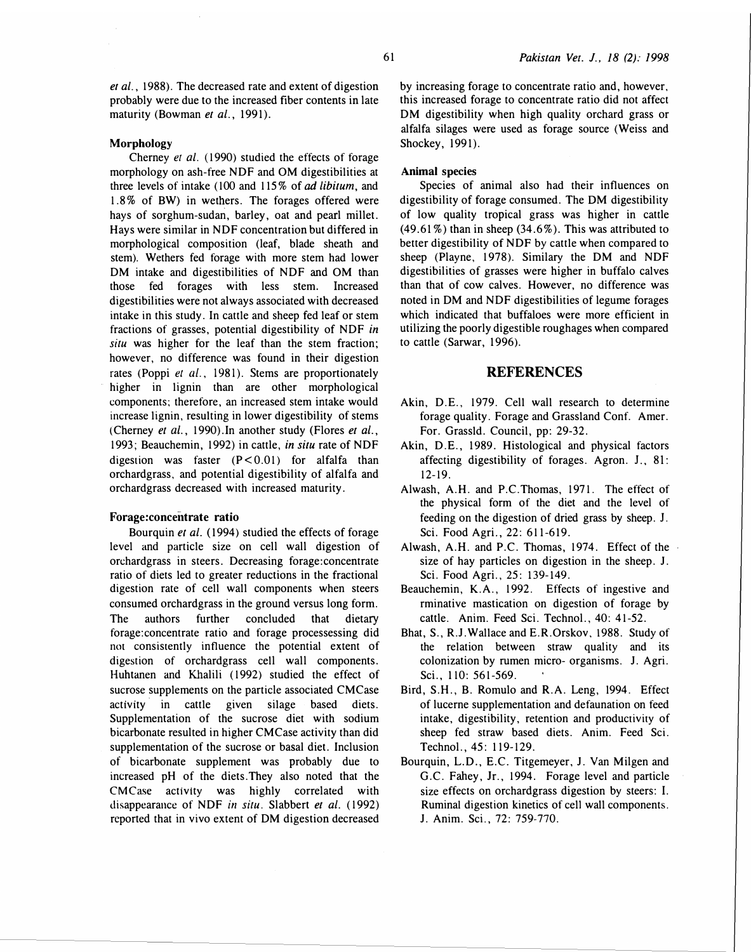#### Morphology

Cherney et al. (1990) studied the effects of forage morphology on ash-free NDF and OM digestibilities at three levels of intake (100 and 115% of ad libitum, and 1.8% of BW) in wet�ers. The forages offered were hays of sorghum-sudan, barley, oat and pearl millet. Hays were similar in NDF concentration but differed in morphological composition (leaf, blade sheath and stem). Wethers fed forage with more stem had lower DM intake and digestibilities of NDF and OM than those fed forages with less stem. Increased digestibilities were not always associated with decreased intake in this study. In cattle and sheep fed leaf or stem fractions of grasses, potential digestibility of NDF in situ was higher for the leaf than the stem fraction; however, no difference was found in their digestion rates (Poppi et al., 1981). Stems are proportionately higher in lignin than are other morphological components; therefore, an increased stem intake would increase lignin, resulting in lower digestibility of stems (Cherney et al., 1990). In another study (Flores et al., 1993; Beauchemin, 1992) in cattle, in situ rate of NDF digestion was faster  $(P < 0.01)$  for alfalfa than orchardgrass, and potential digestibility of alfalfa and orchardgrass decreased with increased maturity.

#### Forage: concentrate ratio

Bourquin et al. (1994) studied the effects of forage level and particle size on cell wall digestion of orchardgrass in steers. Decreasing forage:concentrate ratio of diets led to greater reductions in the fractional digestion rate of cell wall components when steers consumed orchardgrass in the ground versus long form. The authors further concluded that dietary forage:concentrate ratio and forage processessing did not consistently influence the potential extent of digestion of orchardgrass cell wall components. Huhtanen and Khalili (1992) studied the effect of sucrose supplements on the particle associated CMCase activity in cattle given silage based diets. Supplementation of the sucrose diet with sodium bicarbonate resulted in higher CMCase activity than did supplementation of the sucrose or basal diet. Inclusion of bicarbonate supplement was probably due to increased pH of the diets. They also noted that the CMCase activity was highly correlated with disappearance of NDF in situ. Slabbert et al. (1992) reported that in vivo extent of DM digestion decreased by increasing forage to concentrate ratio and, however. this increased forage to concentrate ratio did not affect DM digestibility when high quality orchard grass or alfalfa silages were used as forage source (Weiss and Shockey, 1991).

#### Animal species

Species of animal also had their influences on digestibility of forage consumed. The DM digestibility of low quality tropical grass was higher in cattle  $(49.61\%)$  than in sheep  $(34.6\%)$ . This was attributed to better digestibility of NDF by cattle when compared to sheep (Playne, 1978). Similary the DM and NDF digestibilities of grasses were higher in buffalo calves than that of cow calves. However, no difference was noted in DM and NDF digestibilities of legume forages which indicated that buffaloes were more efficient in utilizing the poorly digestible roughages when compared to cattle (Sarwar, 1996).

### **REFERENCES**

- Akin, D.E., 1979. Cell wall research to determine forage quality. Forage and Grassland Conf. Amer. For. Grassld. Council, pp: 29-32.
- Akin, D.E., 1989. Histological and physical factors affecting digestibility of forages. Agron. J., 81: 12-19.
- Alwash, A. H. and P.C.Thomas, 1971. The effect of the physical form of the diet and the level of feeding on the digestion of dried grass by sheep. J. Sci. Food Agri., 22: 611-619.
- Alwash, A.H. and P.C. Thomas, 1974. Effect of the size of hay particles on digestion in the sheep. J. Sci. Food Agri., 25: 139-149.
- Beauchemin, K.A., 1992. Effects of ingestive and rminative mastication on digestion of forage by cattle. Anim. Feed Sci. Technol. , 40: 41-52.
- Bhat, S., R.J.Wallace and E.R.Orskov, 1988. Study of the relation between straw quality and its colonization by rumen micro- organisms. J. Agri. Sci., 110: 561-569.
- Bird, S.H., B. Romulo and R.A. Leng, 1994. Effect of lucerne supplementation and defaunation on feed intake, digestibility, retention and productivity of sheep fed straw based diets. Anim. Feed Sci. Technol., 45: 119-129.
- Bourquin, L.D. , E.C. Titgemeyer, J. Van Milgen and G.C. Fahey, Jr., 1994. Forage level and particle size effects on orchard grass digestion by steers: I. Rumina! digestion kinetics of cell wall components. J. Anim. Sci., 72: 759-770.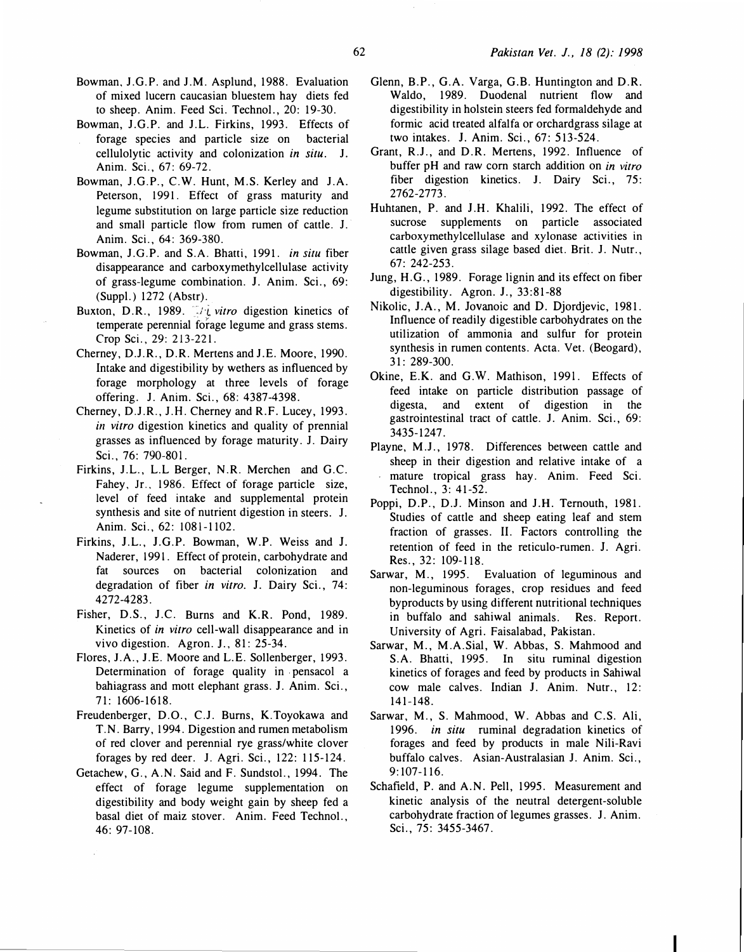- Bowman, J.G.P. and J.M. Asplund, 1988. Evaluation of mixed lucern caucasian bluestem hay diets fed to sheep. Anim. Feed Sci. Technol., 20: 19-30.
- Bowman, J.G.P. and J.L. Firkins, 1993. Effects of forage species and particle size on bacterial cellulolytic activity and colonization in situ. J. Anim. Sci., 67: 69-72.
- Bowman, J.G.P., C.W. Hunt, M.S. Kerley and J.A. Peterson, 1991. Effect of grass maturity and legume substitution on large particle size reduction and small particle tlow from rumen of cattle. 1. Anim. Sci., 64: 369-380.
- Bowman, J.G.P. and S.A. Bhatti, 1991. in situ fiber disappearance and carboxymethylcellulase activity of grass-legume combination. 1. Anim. Sci., 69: (Suppl. ) 1272 (Abstr).
- Buxton, D.R., 1989. Vij vitro digestion kinetics of temperate perennial forage legume and grass stems. Crop Sci. , 29: 213-221.
- Cherney, D.J. R., D.R. Mertens and J.E. Moore, 1990. Intake and digestibility by wethers as influenced by forage morphology at three levels of forage offering. J. Anim. Sci., 68: 4387-4398.
- Cherney, D.J.R., 1.H. Cherney and R.F. Lucey, 1993. in vitro digestion kinetics and quality of prennial grasses as influenced by forage maturity. 1. Dairy Sci., 76: 790-801.
- Firkins, J.L., L.L Berger, N.R. Merchen and G.C. Fahey, Jr., 1986. Effect of forage particle size, level of feed intake and supplemental protein synthesis and site of nutrient digestion in steers. 1. Anim. Sci., 62: 1081-1102.
- Firkins, J.L., J.G.P. Bowman, W.P. Weiss and J. Naderer, 1991. Effect of protein, carbohydrate and fat sources on bacterial colonization and degradation of fiber in vitro. J. Dairy Sci., 74: 4272-4283.
- Fisher, D.S., J.C. Burns and K.R. Pond, 1989. Kinetics of in vitro cell-wall disappearance and in vivo digestion. Agron. 1., 81: 25-34.
- Flores, J.A., J.E. Moore and L.E. Sollenberger, 1993. Determination of forage quality in pensacol a bahiagrass and mott elephant grass. J. Anim. Sci. , 71 : 1606-1618.
- Freudenberger, D.O., C.J. Burns, K.Toyokawa and T. N. Barry, 1994. Digestion and rumen metabolism of red clover and perennial rye grass/white clover forages by red deer. J. Agri. Sci., 122: 115-124.
- Getachew, G., A. N. Said and F. Sundstol., 1994. The effect of forage legume supplementation on digestibility and body weight gain by sheep fed a basal diet of maiz stover. Anim. Feed Technol., 46: 97-108.
- Glenn, B.P., G.A. Varga, G.B. Huntington and D.R. Waldo, 1989. Duodenal nutrient flow and digestibility in holstein steers fed formaldehyde and formic acid treated alfalfa or orchardgrass silage at two intakes. J. Anim. Sci., 67: 513-524.
- Grant, R.J., and D.R. Mertens, 1992. Influence of buffer pH and raw corn starch addition on in vitro fiber digestion kinetics. J. Dairy Sci., 75: 2762-2773.
- Huhtanen, P. and J.H. Khalili, 1992. The effect of sucrose supplements on particle associated carboxymethylcellulase and xylonase activities in cattle given grass silage based diet. Brit. J. Nutr., 67: 242-253.
- Jung, H.G., 1989. Forage lignin and its effect on fiber digestibility. Agron. J., 33:81-88
- Nikolic, J.A., M. Jovanoic and D. Djordjevic, 1981. Influence of readily digestible carbohydrates on the utilization of ammonia and sulfur for protein synthesis in rumen contents. Acta. Vet. (Beogard), 31: 289-300.
- Okine, E.K. and G.W. Mathison, 1991. Effects of feed intake on particle distribution passage of digesta, and extent of digestion in the gastrointestinal tract of cattle. J. Anim. Sci., 69: 3435-1247.
- Playne, M.J., 1978. Differences between cattle and sheep in their digestion and relative intake of a mature tropical grass hay. Anim. Feed Sci. Techno!., 3: 41-52.
- Poppi, D.P., D.J. Minson and J.H. Ternouth, 1981. Studies of cattle and sheep eating leaf and stem fraction of grasses. II. Factors controlling the retention of feed in the reticulo-rumen. J. Agri. Res., 32: 109-118.
- Sarwar, M., 1995. Evaluation of leguminous and non-leguminous forages, crop residues and feed byproducts by using different nutritional techniques in buffalo and sahiwal animals. Res. Report. University of Agri. Faisalabad, Pakistan.
- Sarwar, M., M.A.Sial, W. Abbas, S. Mahmood and S.A. Bhatti, 1995. In situ ruminal digestion kinetics of forages and feed by products in Sahiwal cow male calves. Indian 1. Anim. Nutr., 12: 141-148.
- Sarwar, M., S. Mahmood, W. Abbas and C.S. Ali, 1996. *in situ* ruminal degradation kinetics of forages and feed by products in male Nili-Ravi buffalo calves. Asian-Australasian J. Anim. Sci., 9:107-116.
- Schafield, P. and A.N. Pell, 1995. Measurement and kinetic analysis of the neutral detergent-soluble carbohydrate fraction of legumes grasses. J. Anim. Sci., 75: 3455-3467.